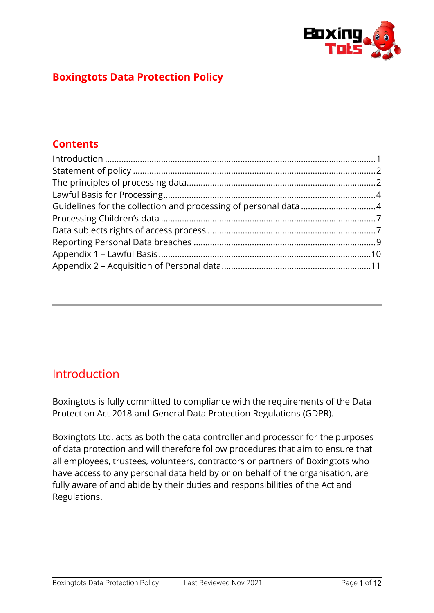

### **Boxingtots Data Protection Policy**

### **Contents**

## <span id="page-0-0"></span>Introduction

Boxingtots is fully committed to compliance with the requirements of the Data Protection Act 2018 and General Data Protection Regulations (GDPR).

Boxingtots Ltd, acts as both the data controller and processor for the purposes of data protection and will therefore follow procedures that aim to ensure that all employees, trustees, volunteers, contractors or partners of Boxingtots who have access to any personal data held by or on behalf of the organisation, are fully aware of and abide by their duties and responsibilities of the Act and Regulations.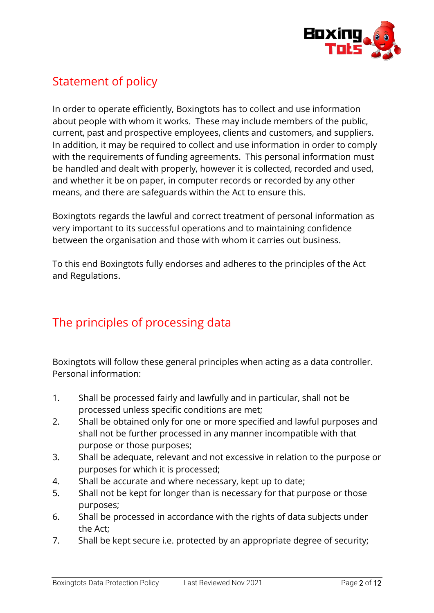

# <span id="page-1-0"></span>Statement of policy

In order to operate efficiently, Boxingtots has to collect and use information about people with whom it works. These may include members of the public, current, past and prospective employees, clients and customers, and suppliers. In addition, it may be required to collect and use information in order to comply with the requirements of funding agreements. This personal information must be handled and dealt with properly, however it is collected, recorded and used, and whether it be on paper, in computer records or recorded by any other means, and there are safeguards within the Act to ensure this.

Boxingtots regards the lawful and correct treatment of personal information as very important to its successful operations and to maintaining confidence between the organisation and those with whom it carries out business.

To this end Boxingtots fully endorses and adheres to the principles of the Act and Regulations.

# <span id="page-1-1"></span>The principles of processing data

Boxingtots will follow these general principles when acting as a data controller. Personal information:

- 1. Shall be processed fairly and lawfully and in particular, shall not be processed unless specific conditions are met;
- 2. Shall be obtained only for one or more specified and lawful purposes and shall not be further processed in any manner incompatible with that purpose or those purposes;
- 3. Shall be adequate, relevant and not excessive in relation to the purpose or purposes for which it is processed;
- 4. Shall be accurate and where necessary, kept up to date;
- 5. Shall not be kept for longer than is necessary for that purpose or those purposes;
- 6. Shall be processed in accordance with the rights of data subjects under the Act;
- 7. Shall be kept secure i.e. protected by an appropriate degree of security;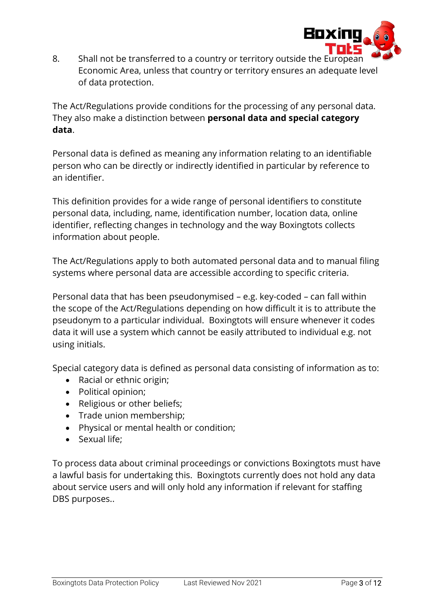

8. Shall not be transferred to a country or territory outside the European Economic Area, unless that country or territory ensures an adequate level of data protection.

The Act/Regulations provide conditions for the processing of any personal data. They also make a distinction between **personal data and special category data**.

Personal data is defined as meaning any information relating to an identifiable person who can be directly or indirectly identified in particular by reference to an identifier.

This definition provides for a wide range of personal identifiers to constitute personal data, including, name, identification number, location data, online identifier, reflecting changes in technology and the way Boxingtots collects information about people.

The Act/Regulations apply to both automated personal data and to manual filing systems where personal data are accessible according to specific criteria.

Personal data that has been pseudonymised – e.g. key-coded – can fall within the scope of the Act/Regulations depending on how difficult it is to attribute the pseudonym to a particular individual. Boxingtots will ensure whenever it codes data it will use a system which cannot be easily attributed to individual e.g. not using initials.

Special category data is defined as personal data consisting of information as to:

- Racial or ethnic origin;
- Political opinion;
- Religious or other beliefs;
- Trade union membership;
- Physical or mental health or condition;
- Sexual life;

To process data about criminal proceedings or convictions Boxingtots must have a lawful basis for undertaking this. Boxingtots currently does not hold any data about service users and will only hold any information if relevant for staffing DBS purposes..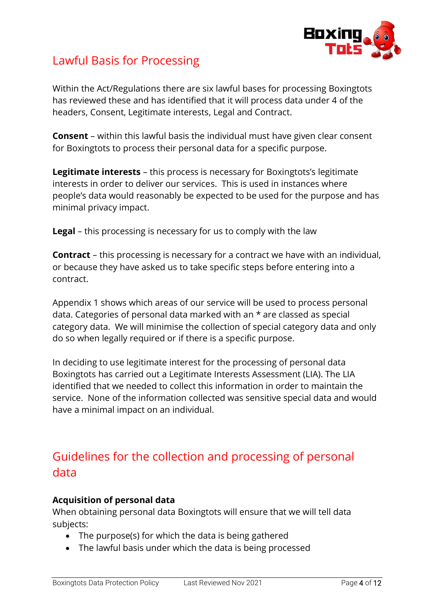

## <span id="page-3-0"></span>Lawful Basis for Processing

Within the Act/Regulations there are six lawful bases for processing Boxingtots has reviewed these and has identified that it will process data under 4 of the headers, Consent, Legitimate interests, Legal and Contract.

**Consent** – within this lawful basis the individual must have given clear consent for Boxingtots to process their personal data for a specific purpose.

**Legitimate interests** – this process is necessary for Boxingtots's legitimate interests in order to deliver our services. This is used in instances where people's data would reasonably be expected to be used for the purpose and has minimal privacy impact.

**Legal** – this processing is necessary for us to comply with the law

**Contract** – this processing is necessary for a contract we have with an individual, or because they have asked us to take specific steps before entering into a contract.

Appendix 1 shows which areas of our service will be used to process personal data. Categories of personal data marked with an \* are classed as special category data. We will minimise the collection of special category data and only do so when legally required or if there is a specific purpose.

In deciding to use legitimate interest for the processing of personal data Boxingtots has carried out a Legitimate Interests Assessment (LIA). The LIA identified that we needed to collect this information in order to maintain the service. None of the information collected was sensitive special data and would have a minimal impact on an individual.

# <span id="page-3-1"></span>Guidelines for the collection and processing of personal data

### **Acquisition of personal data**

When obtaining personal data Boxingtots will ensure that we will tell data subjects:

- The purpose(s) for which the data is being gathered
- The lawful basis under which the data is being processed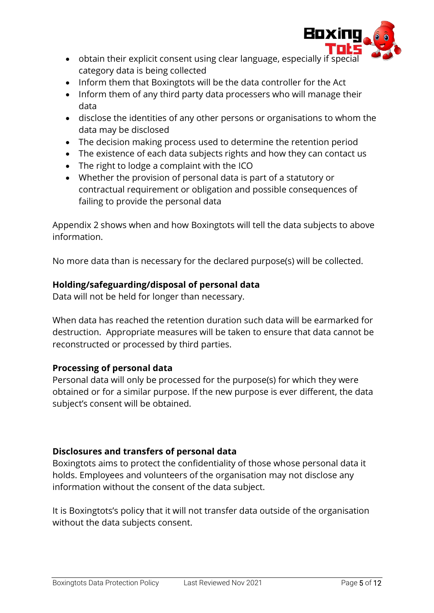

- obtain their explicit consent using clear language, especially if special category data is being collected
- Inform them that Boxingtots will be the data controller for the Act
- Inform them of any third party data processers who will manage their data
- disclose the identities of any other persons or organisations to whom the data may be disclosed
- The decision making process used to determine the retention period
- The existence of each data subjects rights and how they can contact us
- The right to lodge a complaint with the ICO
- Whether the provision of personal data is part of a statutory or contractual requirement or obligation and possible consequences of failing to provide the personal data

Appendix 2 shows when and how Boxingtots will tell the data subjects to above information.

No more data than is necessary for the declared purpose(s) will be collected.

### **Holding/safeguarding/disposal of personal data**

Data will not be held for longer than necessary.

When data has reached the retention duration such data will be earmarked for destruction. Appropriate measures will be taken to ensure that data cannot be reconstructed or processed by third parties.

### **Processing of personal data**

Personal data will only be processed for the purpose(s) for which they were obtained or for a similar purpose. If the new purpose is ever different, the data subject's consent will be obtained.

### **Disclosures and transfers of personal data**

Boxingtots aims to protect the confidentiality of those whose personal data it holds. Employees and volunteers of the organisation may not disclose any information without the consent of the data subject.

It is Boxingtots's policy that it will not transfer data outside of the organisation without the data subjects consent.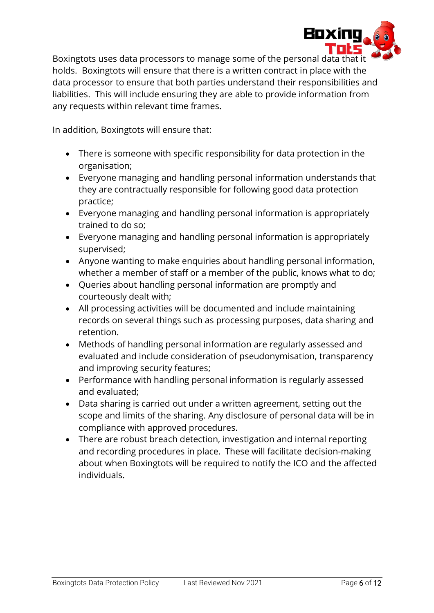

Boxingtots uses data processors to manage some of the personal data that it holds. Boxingtots will ensure that there is a written contract in place with the data processor to ensure that both parties understand their responsibilities and liabilities. This will include ensuring they are able to provide information from any requests within relevant time frames.

In addition, Boxingtots will ensure that:

- There is someone with specific responsibility for data protection in the organisation;
- Everyone managing and handling personal information understands that they are contractually responsible for following good data protection practice;
- Everyone managing and handling personal information is appropriately trained to do so;
- Everyone managing and handling personal information is appropriately supervised;
- Anyone wanting to make enquiries about handling personal information, whether a member of staff or a member of the public, knows what to do;
- Queries about handling personal information are promptly and courteously dealt with;
- All processing activities will be documented and include maintaining records on several things such as processing purposes, data sharing and retention.
- Methods of handling personal information are regularly assessed and evaluated and include consideration of pseudonymisation, transparency and improving security features;
- Performance with handling personal information is regularly assessed and evaluated;
- Data sharing is carried out under a written agreement, setting out the scope and limits of the sharing. Any disclosure of personal data will be in compliance with approved procedures.
- There are robust breach detection, investigation and internal reporting and recording procedures in place. These will facilitate decision-making about when Boxingtots will be required to notify the ICO and the affected individuals.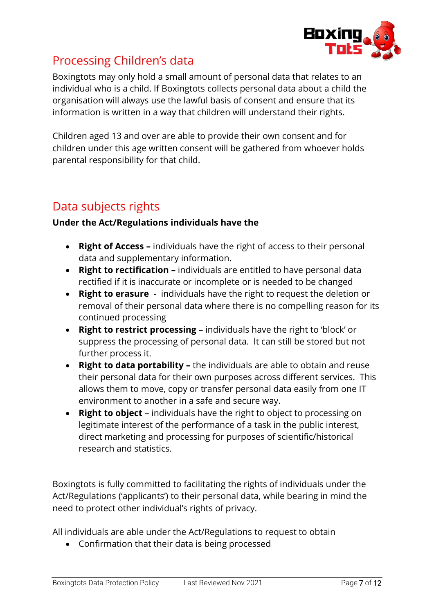

# <span id="page-6-0"></span>Processing Children's data

Boxingtots may only hold a small amount of personal data that relates to an individual who is a child. If Boxingtots collects personal data about a child the organisation will always use the lawful basis of consent and ensure that its information is written in a way that children will understand their rights.

Children aged 13 and over are able to provide their own consent and for children under this age written consent will be gathered from whoever holds parental responsibility for that child.

# <span id="page-6-1"></span>Data subjects rights

### **Under the Act/Regulations individuals have the**

- **Right of Access –** individuals have the right of access to their personal data and supplementary information.
- **Right to rectification –** individuals are entitled to have personal data rectified if it is inaccurate or incomplete or is needed to be changed
- **Right to erasure -** individuals have the right to request the deletion or removal of their personal data where there is no compelling reason for its continued processing
- **Right to restrict processing –** individuals have the right to 'block' or suppress the processing of personal data. It can still be stored but not further process it.
- **Right to data portability –** the individuals are able to obtain and reuse their personal data for their own purposes across different services. This allows them to move, copy or transfer personal data easily from one IT environment to another in a safe and secure way.
- **Right to object**  individuals have the right to object to processing on legitimate interest of the performance of a task in the public interest, direct marketing and processing for purposes of scientific/historical research and statistics.

Boxingtots is fully committed to facilitating the rights of individuals under the Act/Regulations ('applicants') to their personal data, while bearing in mind the need to protect other individual's rights of privacy.

All individuals are able under the Act/Regulations to request to obtain

• Confirmation that their data is being processed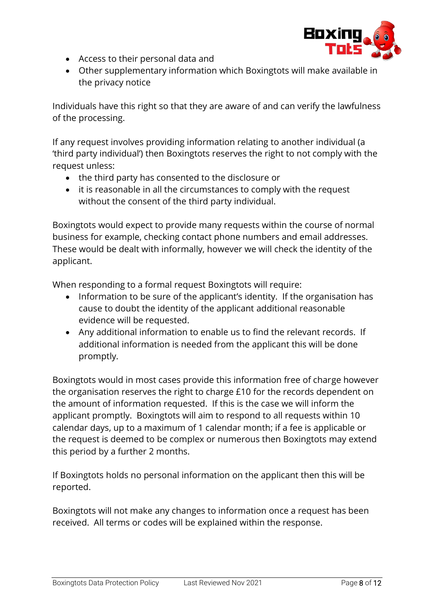

- Access to their personal data and
- Other supplementary information which Boxingtots will make available in the privacy notice

Individuals have this right so that they are aware of and can verify the lawfulness of the processing.

If any request involves providing information relating to another individual (a 'third party individual') then Boxingtots reserves the right to not comply with the request unless:

- the third party has consented to the disclosure or
- it is reasonable in all the circumstances to comply with the request without the consent of the third party individual.

Boxingtots would expect to provide many requests within the course of normal business for example, checking contact phone numbers and email addresses. These would be dealt with informally, however we will check the identity of the applicant.

When responding to a formal request Boxingtots will require:

- Information to be sure of the applicant's identity. If the organisation has cause to doubt the identity of the applicant additional reasonable evidence will be requested.
- Any additional information to enable us to find the relevant records. If additional information is needed from the applicant this will be done promptly.

Boxingtots would in most cases provide this information free of charge however the organisation reserves the right to charge £10 for the records dependent on the amount of information requested. If this is the case we will inform the applicant promptly. Boxingtots will aim to respond to all requests within 10 calendar days, up to a maximum of 1 calendar month; if a fee is applicable or the request is deemed to be complex or numerous then Boxingtots may extend this period by a further 2 months.

If Boxingtots holds no personal information on the applicant then this will be reported.

Boxingtots will not make any changes to information once a request has been received. All terms or codes will be explained within the response.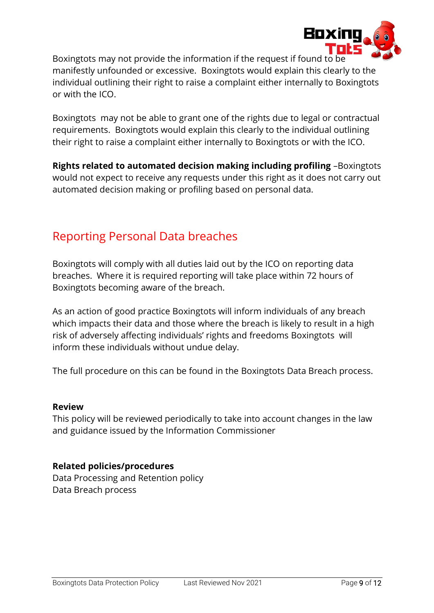

Boxingtots may not provide the information if the request if found to be manifestly unfounded or excessive. Boxingtots would explain this clearly to the individual outlining their right to raise a complaint either internally to Boxingtots or with the ICO.

Boxingtots may not be able to grant one of the rights due to legal or contractual requirements. Boxingtots would explain this clearly to the individual outlining their right to raise a complaint either internally to Boxingtots or with the ICO.

**Rights related to automated decision making including profiling** –Boxingtots would not expect to receive any requests under this right as it does not carry out automated decision making or profiling based on personal data.

# <span id="page-8-0"></span>Reporting Personal Data breaches

Boxingtots will comply with all duties laid out by the ICO on reporting data breaches. Where it is required reporting will take place within 72 hours of Boxingtots becoming aware of the breach.

As an action of good practice Boxingtots will inform individuals of any breach which impacts their data and those where the breach is likely to result in a high risk of adversely affecting individuals' rights and freedoms Boxingtots will inform these individuals without undue delay.

The full procedure on this can be found in the Boxingtots Data Breach process.

#### **Review**

This policy will be reviewed periodically to take into account changes in the law and guidance issued by the Information Commissioner

### **Related policies/procedures**

Data Processing and Retention policy Data Breach process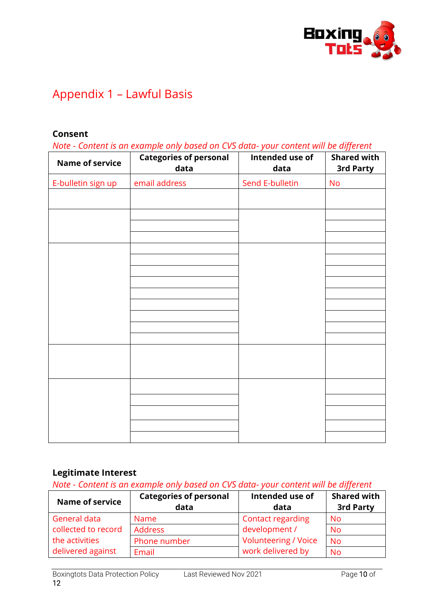

# <span id="page-9-0"></span>Appendix 1 – Lawful Basis

#### **Consent**

*Note - Content is an example only based on CVS data- your content will be different*

| <b>Name of service</b> | coment to an example only to about on ever alone. Jour coment million algunant<br><b>Categories of personal</b><br>data | Intended use of<br>data | <b>Shared with</b><br>3rd Party |
|------------------------|-------------------------------------------------------------------------------------------------------------------------|-------------------------|---------------------------------|
| E-bulletin sign up     | email address                                                                                                           | Send E-bulletin         | No                              |
|                        |                                                                                                                         |                         |                                 |
|                        |                                                                                                                         |                         |                                 |
|                        |                                                                                                                         |                         |                                 |
|                        |                                                                                                                         |                         |                                 |
|                        |                                                                                                                         |                         |                                 |
|                        |                                                                                                                         |                         |                                 |
|                        |                                                                                                                         |                         |                                 |
|                        |                                                                                                                         |                         |                                 |
|                        |                                                                                                                         |                         |                                 |
|                        |                                                                                                                         |                         |                                 |
|                        |                                                                                                                         |                         |                                 |
|                        |                                                                                                                         |                         |                                 |
|                        |                                                                                                                         |                         |                                 |
|                        |                                                                                                                         |                         |                                 |
|                        |                                                                                                                         |                         |                                 |
|                        |                                                                                                                         |                         |                                 |

### **Legitimate Interest**

*Note - Content is an example only based on CVS data- your content will be different*

| <b>Name of service</b> | <b>Categories of personal</b><br>data | Intended use of<br>data     | <b>Shared with</b><br>3rd Party |
|------------------------|---------------------------------------|-----------------------------|---------------------------------|
| General data           | <b>Name</b>                           | <b>Contact regarding</b>    | <b>No</b>                       |
| collected to record    | Address                               | development /               | <b>No</b>                       |
| the activities         | Phone number                          | <b>Volunteering / Voice</b> | <b>No</b>                       |
| delivered against      | Email                                 | work delivered by           | <b>No</b>                       |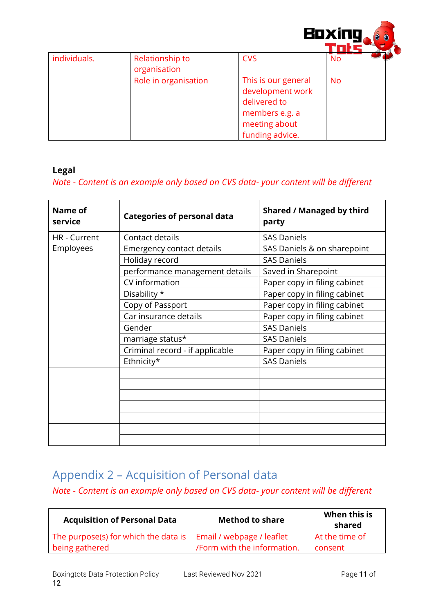

|              |                      |                     | ---       |
|--------------|----------------------|---------------------|-----------|
| individuals. | Relationship to      | <b>CVS</b>          | <b>No</b> |
|              | organisation         |                     |           |
|              | Role in organisation | This is our general | <b>No</b> |
|              |                      | development work    |           |
|              |                      | delivered to        |           |
|              |                      | members e.g. a      |           |
|              |                      | meeting about       |           |
|              |                      | funding advice.     |           |

### **Legal**

### *Note - Content is an example only based on CVS data- your content will be different*

| Name of<br>service | <b>Categories of personal data</b> | <b>Shared / Managed by third</b><br>party |
|--------------------|------------------------------------|-------------------------------------------|
| HR - Current       | Contact details                    | <b>SAS Daniels</b>                        |
| Employees          | <b>Emergency contact details</b>   | SAS Daniels & on sharepoint               |
|                    | Holiday record                     | <b>SAS Daniels</b>                        |
|                    | performance management details     | Saved in Sharepoint                       |
|                    | CV information                     | Paper copy in filing cabinet              |
|                    | Disability *                       | Paper copy in filing cabinet              |
|                    | Copy of Passport                   | Paper copy in filing cabinet              |
|                    | Car insurance details              | Paper copy in filing cabinet              |
|                    | Gender                             | <b>SAS Daniels</b>                        |
|                    | marriage status*                   | <b>SAS Daniels</b>                        |
|                    | Criminal record - if applicable    | Paper copy in filing cabinet              |
|                    | Ethnicity*                         | <b>SAS Daniels</b>                        |
|                    |                                    |                                           |
|                    |                                    |                                           |
|                    |                                    |                                           |
|                    |                                    |                                           |
|                    |                                    |                                           |
|                    |                                    |                                           |
|                    |                                    |                                           |

# <span id="page-10-0"></span>Appendix 2 – Acquisition of Personal data

### *Note - Content is an example only based on CVS data- your content will be different*

| <b>Acquisition of Personal Data</b>  | <b>Method to share</b>     | When this is<br>shared |
|--------------------------------------|----------------------------|------------------------|
| The purpose(s) for which the data is | Email / webpage / leaflet  | At the time of         |
| being gathered                       | Form with the information. | consent                |